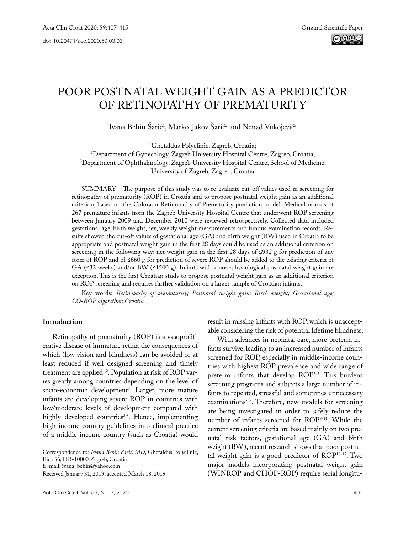# POOR POSTNATAL WEIGHT GAIN AS A PREDICTOR OF RETINOPATHY OF PREMATURITY

Ivana Behin Sarić<sup>1</sup>, Marko-Jakov Sarić<sup>2</sup> and Nenad Vukojević<sup>3</sup>

<sup>1</sup>Ghetaldus Polyclinic, Zagreb, Croatia;

<sup>2</sup>Department of Gynecology, Zagreb University Hospital Centre, Zagreb, Croatia; Department of Gynecology, Zagreb University Hospital Centre, Zagreb, Croatia; 3 Department of Ophthalmology, Zagreb University Hospital Centre, School of Medicine, University of Zagreb, Zagreb, Croatia

SUMMARY – The purpose of this study was to re-evaluate cut-off values used in screening for retinopathy of prematurity (ROP) in Croatia and to propose postnatal weight gain as an additional criterion, based on the Colorado Retinopathy of Prematurity prediction model. Medical records of 267 premature infants from the Zagreb University Hospital Centre that underwent ROP screening between January 2009 and December 2010 were reviewed retrospectively. Collected data included gestational age, birth weight, sex, weekly weight measurements and fundus examination records. Results showed the cut-off values of gestational age (GA) and birth weight (BW) used in Croatia to be appropriate and postnatal weight gain in the first 28 days could be used as an additional criterion on screening in the following way: net weight gain in the first 28 days of ≤932 g for prediction of any form of ROP and of ≤660 g for prediction of severe ROP should be added to the existing criteria of GA ( $\leq$ 32 weeks) and/or BW ( $\leq$ 1500 g). Infants with a non-physiological postnatal weight gain are exception. This is the first Croatian study to propose postnatal weight gain as an additional criterion on ROP screening and requires further validation on a larger sample of Croatian infants.

Key words: *Retinopathy of prematurity; Postnatal weight gain; Birth weight; Gestational age; CO-ROP algorithm; Croatia*

# **Introduction**

Retinopathy of prematurity (ROP) is a vasoproliferative disease of immature retina the consequences of which (low vision and blindness) can be avoided or at least reduced if well designed screening and timely treatment are applied<sup>1,2</sup>. Population at risk of ROP varies greatly among countries depending on the level of socio-economic development<sup>3</sup>. Larger, more mature infants are developing severe ROP in countries with low/moderate levels of development compared with highly developed countries<sup>3,4</sup>. Hence, implementing high-income country guidelines into clinical practice of a middle-income country (such as Croatia) would

Correspondence to: *Ivana Behin Šarić, MD*, Ghetaldus Polyclinic, Ilica 56, HR-10000 Zagreb, Croatia

E-mail: [ivana\\_behin@yahoo.com](mailto:ivana_behin@yahoo.com)

result in missing infants with ROP, which is unacceptable considering the risk of potential lifetime blindness.

With advances in neonatal care, more preterm infants survive, leading to an increased number of infants screened for ROP, especially in middle-income countries with highest ROP prevalence and wide range of preterm infants that develop ROP3-5. This burdens screening programs and subjects a large number of infants to repeated, stressful and sometimes unnecessary examinations<sup>5-8</sup>. Therefore, new models for screening are being investigated in order to safely reduce the number of infants screened for ROP9-11. While the current screening criteria are based mainly on two prenatal risk factors, gestational age (GA) and birth weight (BW), recent research shows that poor postnatal weight gain is a good predictor of ROP10-15. Two major models incorporating postnatal weight gain (WINROP and CHOP-ROP) require serial longitu-

Received January 31, 2019, accepted March 18, 2019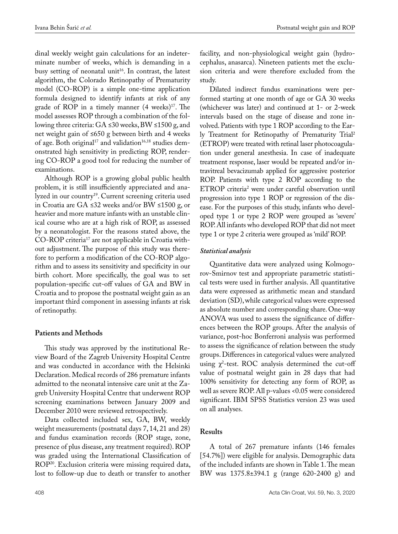dinal weekly weight gain calculations for an indeterminate number of weeks, which is demanding in a busy setting of neonatal unit<sup>16</sup>. In contrast, the latest algorithm, the Colorado Retinopathy of Prematurity model (CO-ROP) is a simple one-time application formula designed to identify infants at risk of any grade of ROP in a timely manner  $(4 \text{ weeks})^{17}$ . The model assesses ROP through a combination of the following three criteria: GA ≤30 weeks, BW ≤1500 g, and net weight gain of ≤650 g between birth and 4 weeks of age. Both original<sup>17</sup> and validation<sup>16,18</sup> studies demonstrated high sensitivity in predicting ROP, rendering CO-ROP a good tool for reducing the number of examinations.

Although ROP is a growing global public health problem, it is still insufficiently appreciated and analyzed in our country<sup>19</sup>. Current screening criteria used in Croatia are GA ≤32 weeks and/or BW ≤1500 g, or heavier and more mature infants with an unstable clinical course who are at a high risk of ROP, as assessed by a neonatologist. For the reasons stated above, the CO-ROP criteria17 are not applicable in Croatia without adjustment. The purpose of this study was therefore to perform a modification of the CO-ROP algorithm and to assess its sensitivity and specificity in our birth cohort. More specifically, the goal was to set population-specific cut-off values of GA and BW in Croatia and to propose the postnatal weight gain as an important third component in assessing infants at risk of retinopathy.

# **Patients and Methods**

This study was approved by the institutional Review Board of the Zagreb University Hospital Centre and was conducted in accordance with the Helsinki Declaration. Medical records of 286 premature infants admitted to the neonatal intensive care unit at the Zagreb University Hospital Centre that underwent ROP screening examinations between January 2009 and December 2010 were reviewed retrospectively.

Data collected included sex, GA, BW, weekly weight measurements (postnatal days 7, 14, 21 and 28) and fundus examination records (ROP stage, zone, presence of plus disease, any treatment required). ROP was graded using the International Classification of ROP20. Exclusion criteria were missing required data, lost to follow-up due to death or transfer to another

facility, and non-physiological weight gain (hydrocephalus, anasarca). Nineteen patients met the exclusion criteria and were therefore excluded from the study.

Dilated indirect fundus examinations were performed starting at one month of age or GA 30 weeks (whichever was later) and continued at 1- or 2-week intervals based on the stage of disease and zone involved. Patients with type 1 ROP according to the Early Treatment for Retinopathy of Prematurity Trial2 (ETROP) were treated with retinal laser photocoagulation under general anesthesia. In case of inadequate treatment response, laser would be repeated and/or intravitreal bevacizumab applied for aggressive posterior ROP. Patients with type 2 ROP according to the ETROP criteria2 were under careful observation until progression into type 1 ROP or regression of the disease. For the purposes of this study, infants who developed type 1 or type 2 ROP were grouped as 'severe' ROP. All infants who developed ROP that did not meet type 1 or type 2 criteria were grouped as 'mild' ROP.

## *Statistical analysis*

Quantitative data were analyzed using Kolmogorov-Smirnov test and appropriate parametric statistical tests were used in further analysis. All quantitative data were expressed as arithmetic mean and standard deviation (SD), while categorical values were expressed as absolute number and corresponding share. One-way ANOVA was used to assess the significance of differences between the ROP groups. After the analysis of variance, post-hoc Bonferroni analysis was performed to assess the significance of relation between the study groups. Differences in categorical values were analyzed using  $\chi^2$ -test. ROC analysis determined the cut-off value of postnatal weight gain in 28 days that had 100% sensitivity for detecting any form of ROP, as well as severe ROP. All p-values <0.05 were considered significant. IBM SPSS Statistics version 23 was used on all analyses.

# **Results**

A total of 267 premature infants (146 females [54.7%]) were eligible for analysis. Demographic data of the included infants are shown in Table 1. The mean BW was 1375.8±394.1 g (range 620-2400 g) and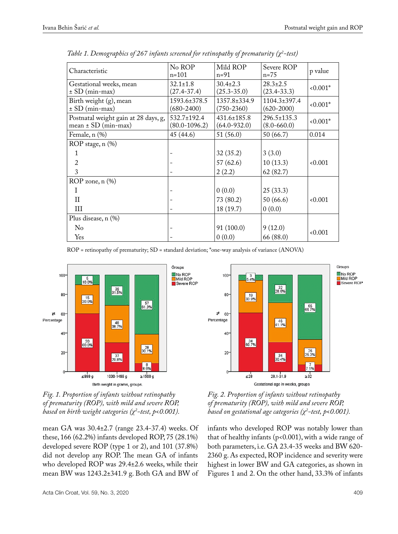| Characteristic                                                  | No ROP<br>$n = 101$               | Mild ROP<br>$n = 91$                  | Severe ROP<br>$n=75$                 | p value  |
|-----------------------------------------------------------------|-----------------------------------|---------------------------------------|--------------------------------------|----------|
| Gestational weeks, mean<br>$\pm$ SD (min-max)                   | $32.1 \pm 1.8$<br>$(27.4 - 37.4)$ | $30.4 \pm 2.3$<br>$(25.3 - 35.0)$     | $28.3 \pm 2.5$<br>$(23.4 - 33.3)$    | $0.001*$ |
| Birth weight (g), mean<br>$\pm$ SD (min-max)                    | 1593.6±378.5<br>$(680 - 2400)$    | $1357.8 \pm 334.9$<br>$(750 - 2360)$  | $1104.3 \pm 397.4$<br>$(620-2000)$   | $0.001*$ |
| Postnatal weight gain at 28 days, g,<br>mean $\pm$ SD (min-max) | 532.7±192.4<br>$(80.0 - 1096.2)$  | $431.6 \pm 185.8$<br>$(64.0 - 932.0)$ | $296.5 \pm 135.3$<br>$(8.0 - 660.0)$ | $0.001*$ |
| Female, n (%)                                                   | 45 (44.6)                         | 51 (56.0)                             | 50 (66.7)                            | 0.014    |
| ROP stage, n (%)                                                |                                   |                                       |                                      |          |
| 1                                                               |                                   | 32(35.2)                              | 3(3.0)                               |          |
| 2                                                               |                                   | 57(62.6)                              | 10(13.3)                             | 0.001    |
| 3                                                               |                                   | 2(2.2)                                | 62(82.7)                             |          |
| ROP zone, n (%)                                                 |                                   |                                       |                                      |          |
| I                                                               |                                   | 0(0.0)                                | 25(33.3)                             |          |
| H                                                               |                                   | 73 (80.2)                             | 50(66.6)                             | 0.001    |
| Ш                                                               |                                   | 18 (19.7)                             | 0(0.0)                               |          |
| Plus disease, n (%)                                             |                                   |                                       |                                      |          |
| $\rm No$                                                        |                                   | 91(100.0)                             | 9(12.0)                              |          |
| Yes                                                             |                                   | 0(0.0)                                | 66 (88.0)                            | 0.001    |

*Table 1. Demographics of 267 infants screened for retinopathy of prematurity (χ<sup>2</sup> -test)*

ROP = retinopathy of prematurity; SD = standard deviation; \*one-way analysis of variance (ANOVA)





mean GA was 30.4±2.7 (range 23.4-37.4) weeks. Of these, 166 (62.2%) infants developed ROP, 75 (28.1%) developed severe ROP (type 1 or 2), and 101 (37.8%) did not develop any ROP. The mean GA of infants who developed ROP was 29.4±2.6 weeks, while their mean BW was 1243.2±341.9 g. Both GA and BW of



*Fig. 2. Proportion of infants without retinopathy of prematurity (ROP), with mild and severe ROP, based on gestational age categories (χ<sup>2</sup> -test, p<0.001).*

infants who developed ROP was notably lower than that of healthy infants ( $p$ <0.001), with a wide range of both parameters, i.e. GA 23.4-35 weeks and BW 620- 2360 g. As expected, ROP incidence and severity were highest in lower BW and GA categories, as shown in Figures 1 and 2. On the other hand, 33.3% of infants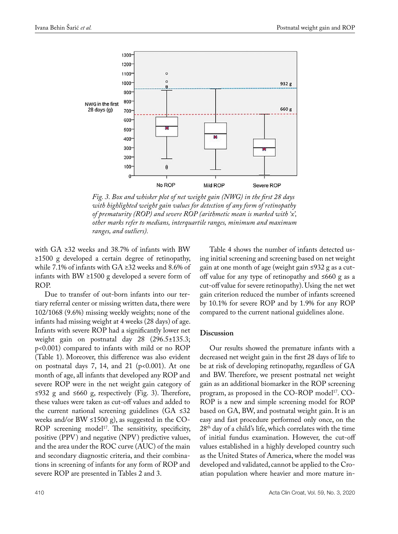

*Fig. 3. Box and whisker plot of net weight gain (NWG) in the first 28 days with highlighted weight gain values for detection of any form of retinopathy of prematurity (ROP) and severe ROP (arithmetic mean is marked with 'x', other marks refer to medians, interquartile ranges, minimum and maximum ranges, and outliers).*

with GA ≥32 weeks and 38.7% of infants with BW ≥1500 g developed a certain degree of retinopathy, while 7.1% of infants with GA ≥32 weeks and 8.6% of infants with BW ≥1500 g developed a severe form of ROP.

Due to transfer of out-born infants into our tertiary referral center or missing written data, there were 102/1068 (9.6%) missing weekly weights; none of the infants had missing weight at 4 weeks (28 days) of age. Infants with severe ROP had a significantly lower net weight gain on postnatal day 28 (296.5±135.3; p<0.001) compared to infants with mild or no ROP (Table 1). Moreover, this difference was also evident on postnatal days  $7, 14,$  and  $21$  ( $p<0.001$ ). At one month of age, all infants that developed any ROP and severe ROP were in the net weight gain category of ≤932 g and ≤660 g, respectively (Fig. 3). Therefore, these values were taken as cut-off values and added to the current national screening guidelines (GA ≤32 weeks and/or BW ≤1500 g), as suggested in the CO-ROP screening model<sup>17</sup>. The sensitivity, specificity, positive (PPV) and negative (NPV) predictive values, and the area under the ROC curve (AUC) of the main and secondary diagnostic criteria, and their combinations in screening of infants for any form of ROP and severe ROP are presented in Tables 2 and 3.

Table 4 shows the number of infants detected using initial screening and screening based on net weight gain at one month of age (weight gain ≤932 g as a cutoff value for any type of retinopathy and ≤660 g as a cut-off value for severe retinopathy). Using the net wet gain criterion reduced the number of infants screened by 10.1% for severe ROP and by 1.9% for any ROP compared to the current national guidelines alone.

#### **Discussion**

Our results showed the premature infants with a decreased net weight gain in the first 28 days of life to be at risk of developing retinopathy, regardless of GA and BW. Therefore, we present postnatal net weight gain as an additional biomarker in the ROP screening program, as proposed in the CO-ROP model<sup>17</sup>. CO-ROP is a new and simple screening model for ROP based on GA, BW, and postnatal weight gain. It is an easy and fast procedure performed only once, on the  $28^{\rm th}$  day of a child's life, which correlates with the time of initial fundus examination. However, the cut-off values established in a highly developed country such as the United States of America, where the model was developed and validated, cannot be applied to the Croatian population where heavier and more mature in-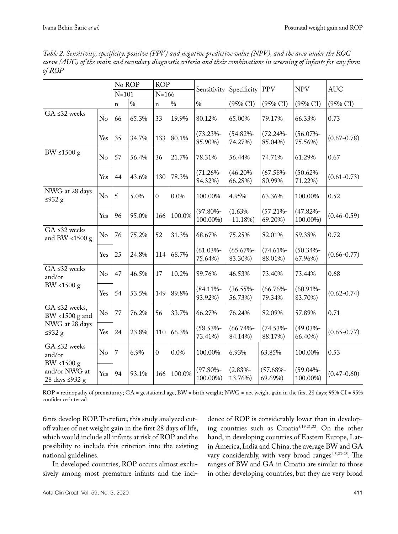*Table 2. Sensitivity, specificity, positive (PPV) and negative predictive value (NPV), and the area under the ROC curve (AUC) of the main and secondary diagnostic criteria and their combinations in screening of infants for any form of ROP*

|                                               |                | No ROP         |       | <b>ROP</b>     |        | Sensitivity              | Specificity             | <b>PPV</b>              | <b>NPV</b>              | <b>AUC</b>      |
|-----------------------------------------------|----------------|----------------|-------|----------------|--------|--------------------------|-------------------------|-------------------------|-------------------------|-----------------|
|                                               |                | $N=101$        |       | $N = 166$      |        |                          |                         |                         |                         |                 |
|                                               |                | $\mathbf n$    | $\%$  | $\mathbf n$    | $\%$   | $\%$                     | (95% CI)                | $(95\% \text{ CI})$     | $(95\% \text{ CI})$     | (95% CI)        |
| $GA \leq 32$ weeks                            | No             | 66             | 65.3% | 33             | 19.9%  | 80.12%                   | 65.00%                  | 79.17%                  | 66.33%                  | 0.73            |
|                                               | Yes            | 35             | 34.7% | 133            | 80.1%  | $(73.23% -$<br>85.90%)   | $(54.82% -$<br>74.27%)  | $(72.24\% -$<br>85.04%) | $(56.07% -$<br>75.56%)  | $(0.67 - 0.78)$ |
| BW $\leq 1500 \text{ g}$                      | No             | 57             | 56.4% | 36             | 21.7%  | 78.31%                   | 56.44%                  | 74.71%                  | 61.29%                  | 0.67            |
|                                               | Yes            | 44             | 43.6% | 130            | 78.3%  | $(71.26% -$<br>84.32%)   | $(46.20\% -$<br>66.28%) | $(67.58% -$<br>80.99%   | $(50.62% -$<br>71.22%)  | $(0.61 - 0.73)$ |
| NWG at 28 days<br>≤932 $g$                    | No             | 5              | 5.0%  | $\theta$       | 0.0%   | 100.00%                  | 4.95%                   | 63.36%                  | 100.00%                 | 0.52            |
|                                               | Yes            | 96             | 95.0% | 166            | 100.0% | $(97.80\% -$<br>100.00%) | (1.63%<br>$-11.18%$     | $(57.21% -$<br>69.20%)  | $(47.82% -$<br>100.00%) | $(0.46 - 0.59)$ |
| $GA \leq 32$ weeks<br>and BW <1500 $g$        | No             | 76             | 75.2% | 52             | 31.3%  | 68.67%                   | 75.25%                  | 82.01%                  | 59.38%                  | 0.72            |
|                                               | Yes            | 25             | 24.8% | 114            | 68.7%  | $(61.03% -$<br>75.64%)   | $(65.67% -$<br>83.30%)  | $(74.61% -$<br>88.01%)  | $(50.34% -$<br>67.96%)  | $(0.66 - 0.77)$ |
| $GA \leq 32$ weeks<br>and/or                  | No             | 47             | 46.5% | 17             | 10.2%  | 89.76%                   | 46.53%                  | 73.40%                  | 73.44%                  | 0.68            |
| BW <1500 $g$                                  | Yes            | 54             | 53.5% | 149            | 89.8%  | $(84.11\% -$<br>93.92%)  | $(36.55% -$<br>56.73%)  | $(66.76% -$<br>79.34%   | $(60.91\% -$<br>83.70%) | $(0.62 - 0.74)$ |
| GA ≤32 weeks,<br>BW <1500 g and               | No             | 77             | 76.2% | 56             | 33.7%  | 66.27%                   | 76.24%                  | 82.09%                  | 57.89%                  | 0.71            |
| NWG at 28 days<br>≤932 $g$                    | Yes            | 24             | 23.8% | 110            | 66.3%  | $(58.53% -$<br>73.41%)   | $(66.74% -$<br>84.14%)  | $(74.53% -$<br>88.17%)  | $(49.03% -$<br>66.40%)  | $(0.65 - 0.77)$ |
| $GA \leq 32$ weeks<br>and/or                  | N <sub>o</sub> | $\overline{7}$ | 6.9%  | $\overline{0}$ | 0.0%   | 100.00%                  | 6.93%                   | 63.85%                  | 100.00%                 | 0.53            |
| BW <1500 g<br>and/or NWG at<br>28 days ≤932 g | Yes            | 94             | 93.1% | 166            | 100.0% | $(97.80\% -$<br>100.00%) | $(2.83% -$<br>13.76%)   | $(57.68% -$<br>69.69%)  | $(59.04% -$<br>100.00%) | $(0.47 - 0.60)$ |

ROP = retinopathy of prematurity; GA = gestational age; BW = birth weight; NWG = net weight gain in the first 28 days; 95% CI = 95% confidence interval

fants develop ROP. Therefore, this study analyzed cutoff values of net weight gain in the first 28 days of life, which would include all infants at risk of ROP and the possibility to include this criterion into the existing national guidelines.

In developed countries, ROP occurs almost exclusively among most premature infants and the inci-

dence of ROP is considerably lower than in developing countries such as Croatia5,19,21,22. On the other hand, in developing countries of Eastern Europe, Latin America, India and China, the average BW and GA vary considerably, with very broad ranges<sup>4,5,23-25</sup>. The ranges of BW and GA in Croatia are similar to those in other developing countries, but they are very broad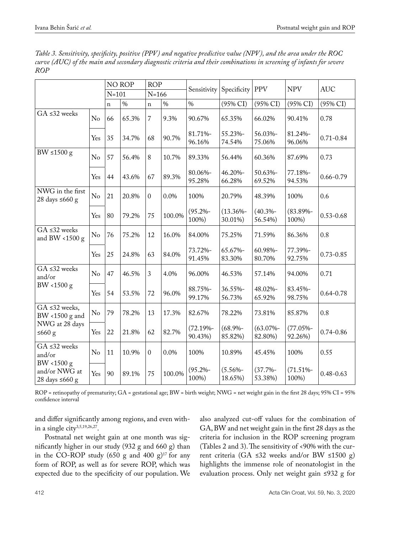|                                                     |                | <b>NO ROP</b> |       | <b>ROP</b>     |        | Sensitivity            | Specificity             | <b>PPV</b>             | <b>NPV</b>             | <b>AUC</b>    |
|-----------------------------------------------------|----------------|---------------|-------|----------------|--------|------------------------|-------------------------|------------------------|------------------------|---------------|
|                                                     |                | $N = 101$     |       | $N = 166$      |        |                        |                         |                        |                        |               |
|                                                     |                | $\mathbf n$   | $\%$  | $\mathbf n$    | $\%$   | $\frac{0}{0}$          | $(95\% \text{ CI})$     | $(95\% \text{ CI})$    | (95% CI)               | (95% CI)      |
| $GA \leq 32$ weeks                                  | No             | 66            | 65.3% | 7              | 9.3%   | 90.67%                 | 65.35%                  | 66.02%                 | 90.41%                 | 0.78          |
|                                                     | Yes            | 35            | 34.7% | 68             | 90.7%  | 81.71%-<br>96.16%      | 55.23%-<br>74.54%       | 56.03%-<br>75.06%      | 81.24%-<br>96.06%      | $0.71 - 0.84$ |
| BW $\leq 1500 \text{ g}$                            | N <sub>o</sub> | 57            | 56.4% | 8              | 10.7%  | 89.33%                 | 56.44%                  | 60.36%                 | 87.69%                 | 0.73          |
|                                                     | Yes            | 44            | 43.6% | 67             | 89.3%  | 80.06%-<br>95.28%      | 46.20%-<br>66.28%       | 50.63%-<br>69.52%      | 77.18%-<br>94.53%      | $0.66 - 0.79$ |
| NWG in the first<br>28 days ≤660 g                  | N <sub>o</sub> | 21            | 20.8% | $\overline{0}$ | 0.0%   | 100%                   | 20.79%                  | 48.39%                 | 100%                   | 0.6           |
|                                                     | Yes            | 80            | 79.2% | 75             | 100.0% | $(95.2\% -$<br>100%)   | $(13.36\% -$<br>30.01%) | $(40.3% -$<br>56.54%)  | $(83.89\% -$<br>100%)  | $0.53 - 0.68$ |
| $GA \leq 32$ weeks<br>and BW <1500 $g$              | N <sub>o</sub> | 76            | 75.2% | 12             | 16.0%  | 84.00%                 | 75.25%                  | 71.59%                 | 86.36%                 | 0.8           |
|                                                     | Yes            | 25            | 24.8% | 63             | 84.0%  | 73.72%-<br>91.45%      | 65.67%-<br>83.30%       | 60.98%-<br>80.70%      | 77.39%-<br>92.75%      | $0.73 - 0.85$ |
| $GA \leq 32$ weeks<br>and/or                        | N <sub>o</sub> | 47            | 46.5% | 3              | 4.0%   | 96.00%                 | 46.53%                  | 57.14%                 | 94.00%                 | 0.71          |
| BW <1500 $g$                                        | Yes            | 54            | 53.5% | 72             | 96.0%  | 88.75%-<br>99.17%      | 36.55%-<br>56.73%       | 48.02%-<br>65.92%      | 83.45%-<br>98.75%      | $0.64 - 0.78$ |
| GA ≤32 weeks,<br>BW <1500 g and                     | No             | 79            | 78.2% | 13             | 17.3%  | 82.67%                 | 78.22%                  | 73.81%                 | 85.87%                 | 0.8           |
| NWG at 28 days<br>$≤660$ g                          | Yes            | 22            | 21.8% | 62             | 82.7%  | $(72.19% -$<br>90.43%) | $(68.9% -$<br>85.82%)   | $(63.07% -$<br>82.80%) | $(77.05% -$<br>92.26%) | $0.74 - 0.86$ |
| $GA \leq 32$ weeks<br>and/or                        | N <sub>o</sub> | 11            | 10.9% | $\overline{0}$ | 0.0%   | 100%                   | 10.89%                  | 45.45%                 | 100%                   | 0.55          |
| BW <1500 g<br>and/or NWG at<br>28 days $\leq 660$ g | Yes            | 90            | 89.1% | 75             | 100.0% | $(95.2\% -$<br>100%)   | $(5.56% -$<br>18.65%)   | $(37.7% -$<br>53.38%)  | $(71.51\% -$<br>100%)  | $0.48 - 0.63$ |

*Table 3. Sensitivity, specificity, positive (PPV) and negative predictive value (NPV), and the area under the ROC curve (AUC) of the main and secondary diagnostic criteria and their combinations in screening of infants for severe ROP*

ROP = retinopathy of prematurity; GA = gestational age; BW = birth weight; NWG = net weight gain in the first 28 days; 95% CI = 95% confidence interval

and differ significantly among regions, and even within a single city<sup>3,5,19,26,27</sup>.

Postnatal net weight gain at one month was significantly higher in our study (932 g and 660 g) than in the CO-ROP study (650 g and 400 g)<sup>17</sup> for any form of ROP, as well as for severe ROP, which was expected due to the specificity of our population. We also analyzed cut-off values for the combination of GA, BW and net weight gain in the first 28 days as the criteria for inclusion in the ROP screening program (Tables 2 and 3). The sensitivity of <90% with the current criteria (GA ≤32 weeks and/or BW ≤1500 g) highlights the immense role of neonatologist in the evaluation process. Only net weight gain ≤932 g for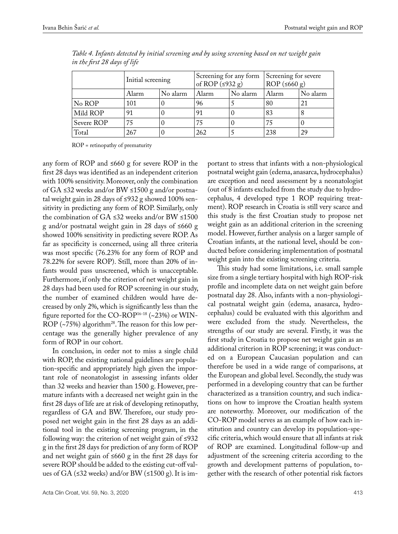|            | Initial screening |          | Screening for any form<br>of ROP $(≤932 g)$ |          | Screening for severe<br>$ROP$ ( $\leq 660$ g) |          |
|------------|-------------------|----------|---------------------------------------------|----------|-----------------------------------------------|----------|
|            | Alarm             | No alarm | Alarm                                       | No alarm | Alarm                                         | No alarm |
| No ROP     | 101               |          | 96                                          |          | 80                                            | 21       |
| Mild ROP   | 91                |          | 91                                          |          | 83                                            |          |
| Severe ROP | 75                |          | 75                                          |          | 75                                            |          |
| Total      | 267               |          | 262                                         |          | 238                                           | 29       |

*Table 4. Infants detected by initial screening and by using screening based on net weight gain in the first 28 days of life*

ROP = retinopathy of prematurity

any form of ROP and ≤660 g for severe ROP in the first 28 days was identified as an independent criterion with 100% sensitivity. Moreover, only the combination of GA ≤32 weeks and/or BW ≤1500 g and/or postnatal weight gain in 28 days of ≤932 g showed 100% sensitivity in predicting any form of ROP. Similarly, only the combination of GA ≤32 weeks and/or BW ≤1500 g and/or postnatal weight gain in 28 days of ≤660 g showed 100% sensitivity in predicting severe ROP. As far as specificity is concerned, using all three criteria was most specific (76.23% for any form of ROP and 78.22% for severe ROP). Still, more than 20% of infants would pass unscreened, which is unacceptable. Furthermore, if only the criterion of net weight gain in 28 days had been used for ROP screening in our study, the number of examined children would have decreased by only 2%, which is significantly less than the figure reported for the CO-ROP<sup>16-18</sup> (~23%) or WIN-ROP ( $\sim$ 75%) algorithm<sup>28</sup>. The reason for this low percentage was the generally higher prevalence of any form of ROP in our cohort.

In conclusion, in order not to miss a single child with ROP, the existing national guidelines are population-specific and appropriately high given the important role of neonatologist in assessing infants older than 32 weeks and heavier than 1500 g. However, premature infants with a decreased net weight gain in the first 28 days of life are at risk of developing retinopathy, regardless of GA and BW. Therefore, our study proposed net weight gain in the first 28 days as an additional tool in the existing screening program, in the following way: the criterion of net weight gain of ≤932 g in the first 28 days for prediction of any form of ROP and net weight gain of ≤660 g in the first 28 days for severe ROP should be added to the existing cut-off values of GA (≤32 weeks) and/or BW (≤1500 g). It is im-

portant to stress that infants with a non-physiological postnatal weight gain (edema, anasarca, hydrocephalus) are exception and need assessment by a neonatologist (out of 8 infants excluded from the study due to hydrocephalus, 4 developed type 1 ROP requiring treatment). ROP research in Croatia is still very scarce and this study is the first Croatian study to propose net weight gain as an additional criterion in the screening model. However, further analysis on a larger sample of Croatian infants, at the national level, should be conducted before considering implementation of postnatal weight gain into the existing screening criteria.

This study had some limitations, i.e. small sample size from a single tertiary hospital with high ROP-risk profile and incomplete data on net weight gain before postnatal day 28. Also, infants with a non-physiological postnatal weight gain (edema, anasarca, hydrocephalus) could be evaluated with this algorithm and were excluded from the study. Nevertheless, the strengths of our study are several. Firstly, it was the first study in Croatia to propose net weight gain as an additional criterion in ROP screening; it was conducted on a European Caucasian population and can therefore be used in a wide range of comparisons, at the European and global level. Secondly, the study was performed in a developing country that can be further characterized as a transition country, and such indications on how to improve the Croatian health system are noteworthy. Moreover, our modification of the CO-ROP model serves as an example of how each institution and country can develop its population-specific criteria, which would ensure that all infants at risk of ROP are examined. Longitudinal follow-up and adjustment of the screening criteria according to the growth and development patterns of population, together with the research of other potential risk factors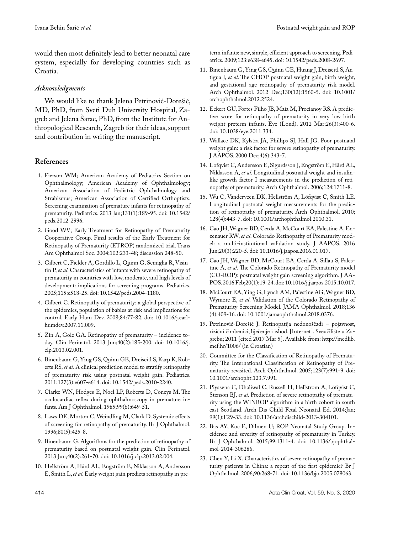would then most definitely lead to better neonatal care system, especially for developing countries such as Croatia.

### *Acknowledgments*

We would like to thank Jelena Petrinović-Dorešić, MD, PhD, from Sveti Duh University Hospital, Zagreb and Jelena Šarac, PhD, from the Institute for Anthropological Research, Zagreb for their ideas, support and contribution in writing the manuscript.

# **References**

- 1. Fierson WM; American Academy of Pediatrics Section on Ophthalmology; American Academy of Ophthalmology; American Association of Pediatric Ophthalmology and Strabismus; American Association of Certified Orthoptists. Screening examination of premature infants for retinopathy of prematurity. Pediatrics. 2013 Jan;131(1):189-95. doi: 10.1542/ peds.2012-2996.
- 2. Good WV; Early Treatment for Retinopathy of Prematurity Cooperative Group. Final results of the Early Treatment for Retinopathy of Prematurity (ETROP) randomized trial. Trans Am Ophthalmol Soc. 2004;102:233-48; discussion 248-50.
- 3. Gilbert C, Fielder A, Gordillo L, Quinn G, Semiglia R, Visintin P, *et al*. Characteristics of infants with severe retinopathy of prematurity in countries with low, moderate, and high levels of development: implications for screening programs. Pediatrics. 2005;115:e518-25. doi: 10.1542/peds.2004-1180.
- 4. Gilbert C. Retinopathy of prematurity: a global perspective of the epidemics, population of babies at risk and implications for control. Early Hum Dev. 2008;84:77-82. doi: 10.1016/j.earlhumdev.2007.11.009.
- 5. Zin A, Gole GA. Retinopathy of prematurity incidence today. Clin Perinatol. 2013 Jun;40(2):185-200. doi: 10.1016/j. clp.2013.02.001.
- 6. Binenbaum G, Ying GS, Quinn GE, Dreiseitl S, Karp K, Roberts RS, *et al.* A clinical prediction model to stratify retinopathy of prematurity risk using postnatal weight gain. Pediatrics. 2011;127(3):e607-e614. doi: 10.1542/peds.2010-2240.
- 7. Clarke WN, Hodges E, Noel LP, Roberts D, Coneys M. The oculocardiac reflex during ophthalmoscopy in premature infants. Am J Ophthalmol. 1985;99(6):649-51.
- 8. Laws DE, Morton C, Weindling M, Clark D. Systemic effects of screening for retinopathy of prematurity. Br J Ophthalmol. 1996;80(5):425-8.
- 9. Binenbaum G. Algorithms for the prediction of retinopathy of prematurity based on postnatal weight gain. Clin Perinatol. 2013 Jun;40(2):261-70. doi: 10.1016/j.clp.2013.02.004.
- 10. Hellström A, Hård AL, Engström E, Niklasson A, Andersson E, Smith L, *et al*. Early weight gain predicts retinopathy in pre-

term infants: new, simple, efficient approach to screening. Pediatrics. 2009;123:e638-e645. doi: 10.1542/peds.2008-2697.

- 11. Binenbaum G, Ying GS, Quinn GE, Huang J, Dreiseitl S, Antigua J, *et al*. The CHOP postnatal weight gain, birth weight, and gestational age retinopathy of prematurity risk model. Arch Ophthalmol. 2012 Dec;130(12):1560-5. doi: 10.1001/ archophthalmol.2012.2524.
- 12. Eckert GU, Fortes Filho JB, Maia M, Procianoy RS. A predictive score for retinopathy of prematurity in very low birth weight preterm infants. Eye (Lond). 2012 Mar;26(3):400-6. doi: 10.1038/eye.2011.334.
- 13. Wallace DK, Kylstra JA, Phillips SJ, Hall JG. Poor postnatal weight gain: a risk factor for severe retinopathy of prematurity. J AAPOS. 2000 Dec;4(6):343-7.
- 14. Lofqvist C, Andersson E, Sigurdsson J, Engström E, Hård AL, Niklasson A, *et al*. Longitudinal postnatal weight and insulinlike growth factor I measurements in the prediction of retinopathy of prematurity. Arch Ophthalmol. 2006;124:1711-8.
- 15. Wu C, Vanderveen DK, Hellström A, Löfqvist C, Smith LE. Longitudinal postnatal weight measurements for the prediction of retinopathy of prematurity. Arch Ophthalmol. 2010; 128(4):443-7. doi: 10.1001/archophthalmol.2010.31.
- 16. Cao JH, Wagner BD, Cerda A, McCourt EA, Palestine A, Enzenauer RW, *et al*. Colorado Retinopathy of Prematurity model: a multi-institutional validation study. J AAPOS. 2016 Jun;20(3):220-5. doi: 10.1016/j.jaapos.2016.01.017.
- 17. Cao JH, Wagner BD, McCourt EA, Cerda A, Sillau S, Palestine A, *et al.* The Colorado Retinopathy of Prematurity model (CO-ROP): postnatal weight gain screening algorithm. J AA-POS. 2016 Feb;20(1):19-24. doi: 10.1016/j.jaapos.2015.10.017.
- 18. McCourt EA, Ying G, Lynch AM, Palestine AG, Wagner BD, Wymore E, *et al*. Validation of the Colorado Retinopathy of Prematurity Screening Model. JAMA Ophthalmol. 2018;136 (4):409-16. doi: 10.1001/jamaophthalmol.2018.0376.
- 19. Petrinović-Dorešić J. Retinopatija nedonoščadi pojavnost, rizični čimbenici, liječenje i ishod. [Internet]. Sveučilište u Zagrebu; 2011 [cited 2017 Mar 5]. Available from: [http://medlib.](http://medlib.mef.hr/1006/) [mef.hr/1006/](http://medlib.mef.hr/1006/) (in Croatian)
- 20. Committee for the Classification of Retinopathy of Prematurity. The International Classification of Retinopathy of Prematurity revisited. Arch Ophthalmol. 2005;123(7):991-9. doi: 10.1001/archopht.123.7.991.
- 21. Piyasena C, Dhaliwal C, Russell H, Hellstrom A, Löfqvist C, Stenson BJ, *et al*. Prediction of severe retinopathy of prematurity using the WINROP algorithm in a birth cohort in south east Scotland. Arch Dis Child Fetal Neonatal Ed. 2014;Jan; 99(1):F29-33. doi: 10.1136/archdischild-2013-304101.
- 22. Bas AY, Koc E, Dilmen U; ROP Neonatal Study Group. Incidence and severity of retinopathy of prematurity in Turkey. Br J Ophthalmol. 2015;99:1311-4. doi: 10.1136/bjophthalmol-2014-306286.
- 23. Chen Y, Li X. Characteristics of severe retinopathy of prematurity patients in China: a repeat of the first epidemic? Br J Ophthalmol. 2006;90:268-71. doi: 10.1136/bjo.2005.078063.